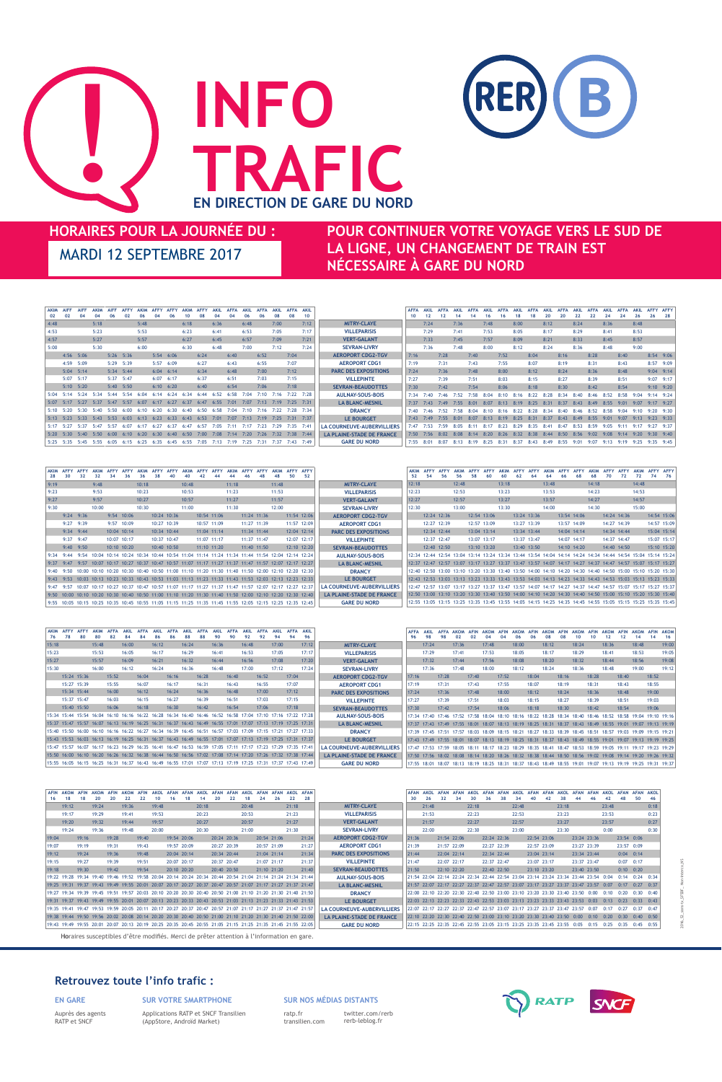# **HORAIRES POUR LA JOURNÉE DU : POUR CONTINUER VOTRE VOYAGE VERS LE SUD DE LA LIGNE, UN CHANGEMENT DE TRAIN EST NÉCESSAIRE À GARE DU NORD**

### **Retrouvez toute l'info trafic :**

### **EN GARE SUR VOTRE SMARTPHONE**



Auprès des agents RATP et SNCF

Applications RATP et SNCF Transilien (AppStore, Androïd Market)

### **SUR NOS MÉDIAS DISTANTS**

ratp.fr transilien.com twitter.com/rerb rerb-leblog.fr



2016\_S2\_sans-tx\_SFSDF\_ Non-Interco\_NS

| 76    | 80          |       |       |       |       |       |       |       |       |       |       | 92    |       |       | 94    |                                                                                                             |                                   |       | 98    |       | 02    | 02    | 04    |       |       |       |       | 08                                                                                                          | 10    | 10    |       |       |       | 14    | 16                                                                                                          |
|-------|-------------|-------|-------|-------|-------|-------|-------|-------|-------|-------|-------|-------|-------|-------|-------|-------------------------------------------------------------------------------------------------------------|-----------------------------------|-------|-------|-------|-------|-------|-------|-------|-------|-------|-------|-------------------------------------------------------------------------------------------------------------|-------|-------|-------|-------|-------|-------|-------------------------------------------------------------------------------------------------------------|
| 15:18 |             | 15:48 |       | 16:00 |       | 16:12 |       | 16:24 |       | 16:36 |       | 16:48 |       | 17:00 |       | 17:12                                                                                                       | <b>MITRY-CLAYE</b>                |       | 17:24 |       | 17:36 |       | 17:48 |       | 18:00 |       | 18:12 |                                                                                                             | 18:24 |       | 18:36 |       | 18:48 |       | 19:00                                                                                                       |
| 15:23 |             | 15:53 |       | 16:05 |       | 16:17 |       | 16:29 |       | 16:41 |       | 16:53 |       | 17:05 |       | 17:17                                                                                                       | <b>VILLEPARISIS</b>               |       | 17:29 |       | 17:41 |       | 17:53 |       | 18:05 |       | 18:17 |                                                                                                             | 18:29 |       | 18:41 |       | 18:53 |       | 19:05                                                                                                       |
| 15:27 |             | 15:57 |       | 16:09 |       | 16:21 |       | 16:32 |       | 16:44 |       | 16:56 |       | 17:08 |       | 17:20                                                                                                       | <b>VERT-GALANT</b>                |       | 17:32 |       | 17:44 |       | 17:56 |       | 18:08 |       | 18:20 |                                                                                                             | 18:32 |       | 18:44 |       | 18:56 |       | 19:08                                                                                                       |
| 15:30 |             | 16:00 |       | 16:12 |       | 16:24 |       | 16:36 |       | 16:48 |       | 17:00 |       | 17:12 |       | 17:24                                                                                                       | <b>SEVRAN-LIVRY</b>               |       | 17:36 |       | 17:48 |       | 18:00 |       | 18:12 |       | 18:24 |                                                                                                             | 18:36 |       | 18:48 |       | 19:00 |       | 19:12                                                                                                       |
|       | 15:24 15:36 |       | 15:52 |       | 16:04 |       | 16:16 |       | 16:28 |       | 16:40 |       | 16:52 |       | 17:04 |                                                                                                             | <b>AEROPORT CDG2-TGV</b>          | 17:16 |       | 17:28 |       | 17:40 |       | 17:52 |       | 18:04 |       | 18:16                                                                                                       |       | 18:28 |       | 18:40 |       | 18:52 |                                                                                                             |
|       | 15:27 15:39 |       | 15:55 |       | 16:07 |       | 16:17 |       | 16:31 |       | 16:43 |       | 16:55 |       | 17:07 |                                                                                                             | <b>AEROPORT CDG1</b>              | 17:19 |       | 17:31 |       | 17:43 |       | 17:55 |       | 18:07 |       | 18:19                                                                                                       |       | 18:31 |       | 18:43 |       | 18:55 |                                                                                                             |
|       | 15:34 15:44 |       | 16:00 |       | 16:12 |       | 16:24 |       | 16:36 |       | 16:48 |       | 17:00 |       | 17:12 |                                                                                                             | <b>PARC DES EXPOSITIONS</b>       | 17:24 |       | 17:36 |       | 17:48 |       | 18:00 |       | 18:12 |       | 18:24                                                                                                       |       | 18:36 |       | 18:48 |       | 19:00 |                                                                                                             |
|       | 15:37 15:47 |       | 16:03 |       | 16:15 |       | 16:27 |       | 16:39 |       | 16:51 |       | 17:03 |       | 17:15 |                                                                                                             | <b>VILLEPINTE</b>                 | 17:27 |       | 17:39 |       | 17:51 |       | 18:03 |       | 18:15 |       | 18:27                                                                                                       |       | 18:39 |       | 18:51 |       | 19:03 |                                                                                                             |
|       | 15:40 15:50 |       | 16:06 |       | 16:18 |       | 16:30 |       | 16:42 |       | 16:54 |       | 17:06 |       | 17:18 |                                                                                                             | <b>SEVRAN-BEAUDOTTES</b>          | 17:30 |       | 17:42 |       | 17:54 |       | 18:06 |       | 18:18 |       | 18:30                                                                                                       |       | 18:42 |       | 18:54 |       | 19:06 |                                                                                                             |
|       |             |       |       |       |       |       |       |       |       |       |       |       |       |       |       | 15:34 15:44 15:54 16:04 16:10 16:16 16:22 16:28 16:34 16:40 16:46 16:52 16:58 17:04 17:10 17:16 17:22 17:28 | <b>AULNAY-SOUS-BOIS</b>           |       |       |       |       |       |       |       |       |       |       |                                                                                                             |       |       |       |       |       |       | 17:34 17:40 17:46 17:52 17:58 18:04 18:10 18:16 18:22 18:28 18:34 18:40 18:46 18:52 18:58 19:04 19:10 19:16 |
|       |             |       |       |       |       |       |       |       |       |       |       |       |       |       |       | 15:37 15:47 15:57 16:07 16:13 16:19 16:25 16:31 16:37 16:43 16:49 16:55 17:01 17:07 17:13 17:19 17:25 17:31 | <b>LA BLANC-MESNIL</b>            |       |       |       |       |       |       |       |       |       |       |                                                                                                             |       |       |       |       |       |       | 17:37 17:43 17:49 17:55 18:01 18:07 18:13 18:19 18:25 18:31 18:37 18:43 18:49 18:55 19:01 19:07 19:13 19:19 |
|       |             |       |       |       |       |       |       |       |       |       |       |       |       |       |       | 15:40 15:50 16:00 16:10 16:16 16:22 16:27 16:34 16:39 16:45 16:51 16:57 17:03 17:09 17:15 17:21 17:27 17:33 | <b>DRANCY</b>                     |       |       |       |       |       |       |       |       |       |       | 17:39 17:45 17:51 17:57 18:03 18:09 18:15 18:21 18:27 18:33 18:39 18:45 18:51 18:57 19:03 19:09 19:15 19:21 |       |       |       |       |       |       |                                                                                                             |
|       |             |       |       |       |       |       |       |       |       |       |       |       |       |       |       | 15:43 15:53 16:03 16:13 16:19 16:25 16:31 16:37 16:43 16:49 16:55 17:01 17:07 17:13 17:19 17:25 17:31 17:37 | LE BOURGET                        |       |       |       |       |       |       |       |       |       |       | 17:43 17:49 17:55 18:01 18:07 18:13 18:19 18:25 18:31 18:37 18:43 18:49 18:55 19:01 19:07 19:13 19:19 19:25 |       |       |       |       |       |       |                                                                                                             |
|       |             |       |       |       |       |       |       |       |       |       |       |       |       |       |       | 15:47 15:57 16:07 16:17 16:23 16:29 16:35 16:41 16:47 16:53 16:59 17:05 17:11 17:17 17:23 17:29 17:35 17:41 | <b>LA COURNEUVE-AUBERVILLIERS</b> |       |       |       |       |       |       |       |       |       |       |                                                                                                             |       |       |       |       |       |       | 17:47 17:53 17:59 18:05 18:11 18:17 18:23 18:29 18:35 18:41 18:47 18:53 18:59 19:05 19:11 19:17 19:23 19:29 |
|       |             |       |       |       |       |       |       |       |       |       |       |       |       |       |       | 15:50 16:00 16:10 16:20 16:26 16:32 16:38 16:44 16:50 16:56 17:02 17:08 17:14 17:20 17:26 17:32 17:38 17:44 | LA PLAINE-STADE DE FRANCE         |       |       |       |       |       |       |       |       |       |       |                                                                                                             |       |       |       |       |       |       | 17:50 17:56 18:02 18:08 18:14 18:20 18:26 18:32 18:38 18:44 18:50 18:56 19:02 19:08 19:14 19:20 19:26 19:32 |
|       |             |       |       |       |       |       |       |       |       |       |       |       |       |       |       | 15:55 16:05 16:15 16:25 16:31 16:37 16:43 16:49 16:55 17:01 17:07 17:13 17:19 17:25 17:31 17:37 17:43 17:49 | <b>GARE DU NORD</b>               |       |       |       |       |       |       |       |       |       |       |                                                                                                             |       |       |       |       |       |       | 17:55 18:01 18:07 18:13 18:19 18:25 18:31 18:37 18:43 18:49 18:55 19:01 19:07 19:13 19:19 19:25 19:31 19:37 |

| <b>AFIN</b> | <b>AKOM</b><br>18 | <b>AFIN</b> | <b>AKOM</b><br><b>20</b> | AFIN  | <b>AKOM</b> |       | <b>AKOL</b> | AFAN | AFAN        |       | AFAN | <b>AFAN</b> | AKOL  | AFAN        | AFAN | AKOL AFAN<br>22<br>28                                                                                       |                                   | <b>AFAN</b> | <b>26</b> | AFAN | AFAN<br>34                                                              | AKOL<br><b>30</b> | AFAN        | AFAN | <b>AKOL</b> | AFAN        | AFAN | AKOL  | AFAN                                                                               | AFAN          | AKOL<br>42 | AFAN AFAN     |                      | AKOL |
|-------------|-------------------|-------------|--------------------------|-------|-------------|-------|-------------|------|-------------|-------|------|-------------|-------|-------------|------|-------------------------------------------------------------------------------------------------------------|-----------------------------------|-------------|-----------|------|-------------------------------------------------------------------------|-------------------|-------------|------|-------------|-------------|------|-------|------------------------------------------------------------------------------------|---------------|------------|---------------|----------------------|------|
|             | 19:12             |             | 19:24                    |       | 19:36       |       | 19:48       |      |             | 20:18 |      |             | 20:48 |             |      | 21:18                                                                                                       | <b>MITRY-CLAYE</b>                |             | 21:48     |      |                                                                         | 22:18             |             |      | 22:48       |             |      | 23:18 |                                                                                    |               | 23:48      |               |                      | 0:18 |
|             | 19:17             |             | 19:29                    |       | 19:41       |       | 19:53       |      |             | 20:23 |      |             | 20:53 |             |      | 21:23                                                                                                       | <b>VILLEPARISIS</b>               |             | 21:53     |      |                                                                         | 22:23             |             |      | 22:53       |             |      | 23:23 |                                                                                    |               | 23:53      |               |                      | 0:23 |
|             | 19:20             |             | 19:32                    |       | 19:44       |       | 19:57       |      |             | 20:27 |      |             | 20:57 |             |      | 21:27                                                                                                       | <b>VERT-GALANT</b>                |             | 21:57     |      |                                                                         | 22:27             |             |      | 22:57       |             |      | 23:27 |                                                                                    |               | 23:57      |               |                      | 0:27 |
|             | 19:24             |             | 19:36                    |       | 19:48       |       | 20:00       |      |             | 20:30 |      |             | 21:00 |             |      | 21:30                                                                                                       | <b>SEVRAN-LIVRY</b>               |             | 22:00     |      |                                                                         | 22:30             |             |      | 23:00       |             |      | 23:30 |                                                                                    |               | 0:00       |               |                      | 0:30 |
| 19:04       |                   | 19:16       |                          | 19:28 |             | 19:40 |             |      | 19:54 20:06 |       |      | 20:24 20:36 |       | 20:54 21:06 |      | 21:24                                                                                                       | <b>AEROPORT CDG2-TGV</b>          | 21:36       |           |      | 21:54 22:06                                                             |                   | 22:24 22:36 |      |             | 22:54 23:06 |      |       | 23:24 23:36                                                                        |               |            | 23:54 0:06    |                      |      |
| 19:07       |                   | 19:19       |                          | 19:31 |             | 19:43 |             |      | 19:57 20:09 |       |      | 20:27 20:39 |       | 20:57 21:09 |      | 21:27                                                                                                       | <b>AEROPORT CDG1</b>              | 21:39       |           |      | 21:57 22:09                                                             |                   | 22:27 22:39 |      |             | 22:57 23:09 |      |       | 23:27 23:39                                                                        |               |            | 23:57 0:09    |                      |      |
| 19:12       |                   | 19:24       |                          | 19:36 |             | 19:48 |             |      | 20:04 20:14 |       |      | 20:34 20:44 |       | 21:04 21:14 |      | 21:34                                                                                                       | <b>PARC DES EXPOSITIONS</b>       | 21:44       |           |      | 22:04 22:14                                                             |                   | 22:34 22:44 |      |             | 23:04 23:14 |      |       | 23:34 23:44                                                                        |               |            | $0:04$ $0:14$ |                      |      |
| 19:15       |                   | 19:27       |                          | 19:39 |             | 19:51 |             |      | 20:07 20:17 |       |      | 20:37 20:47 |       | 21:07 21:17 |      | 21:37                                                                                                       | <b>VILLEPINTE</b>                 | 21:47       |           |      | 22:07 22:17                                                             |                   | 22:37 22:47 |      |             | 23:07 23:17 |      |       | 23:37 23:47                                                                        |               |            | $0:07$ $0:17$ |                      |      |
| 19:18       |                   | 19:30       |                          | 19:42 |             | 19:54 |             |      | 20:10 20:20 |       |      | 20:40 20:50 |       | 21:10 21:20 |      | 21:40                                                                                                       | <b>SEVRAN-BEAUDOTTES</b>          | 21:50       |           |      | 22:10 22:20                                                             |                   | 22:40 22:50 |      |             | 23:10 23:20 |      |       | 23:40 23:50                                                                        |               |            | $0:10$ $0:20$ |                      |      |
|             |                   |             |                          |       |             |       |             |      |             |       |      |             |       |             |      | 19:22 19:28 19:34 19:40 19:46 19:52 19:58 20:04 20:14 20:24 20:34 20:44 20:54 21:04 21:14 21:24 21:34 21:44 | <b>AULNAY-SOUS-BOIS</b>           |             |           |      |                                                                         |                   |             |      |             |             |      |       | 21:54 22:04 22:14 22:24 22:34 22:44 22:54 23:04 23:14 23:24 23:34 23:44 23:54 0:04 |               |            |               | $0:14$ $0:24$ $0:34$ |      |
|             |                   |             |                          |       |             |       |             |      |             |       |      |             |       |             |      | 19:25 19:31 19:37 19:43 19:49 19:55 20:01 20:07 20:17 20:27 20:37 20:47 20:57 21:07 21:17 21:27 21:37 21:47 | <b>LA BLANC-MESNIL</b>            |             |           |      |                                                                         |                   |             |      |             |             |      |       | 21:57 22:07 22:17 22:27 22:37 22:47 22:57 23:07 23:17 23:27 23:37 23:47 23:57 0:07 |               |            |               | $0:17$ $0:27$ $0:37$ |      |
|             |                   |             |                          |       |             |       |             |      |             |       |      |             |       |             |      | 19:27 19:34 19:39 19:45 19:51 19:57 20:03 20:10 20:20 20:30 20:40 20:50 21:00 21:10 21:20 21:30 21:40 21:50 | <b>DRANCY</b>                     |             |           |      | 22:00 22:10 22:20 22:30 22:40 22:50 23:00 23:10 23:20 23:30 23:40 23:50 |                   |             |      |             |             |      |       |                                                                                    | 0:00          | 0:10       | 0:20          | $0:30$ $0:40$        |      |
|             |                   |             |                          |       |             |       |             |      |             |       |      |             |       |             |      | 19:31 19:37 19:43 19:49 19:55 20:01 20:07 20:13 20:23 20:33 20:43 20:53 21:03 21:13 21:23 21:33 21:43 21:53 | <b>LE BOURGET</b>                 |             |           |      |                                                                         |                   |             |      |             |             |      |       | 22:03 22:13 22:23 22:33 22:43 22:53 23:03 23:13 23:23 23:33 23:43 23:53 0:03 0:13  |               |            | 0:23          | $0:33$ $0:43$        |      |
|             |                   |             |                          |       |             |       |             |      |             |       |      |             |       |             |      | 19:35 19:41 19:47 19:53 19:59 20:05 20:11 20:17 20:27 20:37 20:47 20:57 21:07 21:17 21:27 21:37 21:47 21:57 | <b>LA COURNEUVE-AUBERVILLIERS</b> |             |           |      | 22:07 22:17 22:27 22:37 22:47 22:57 23:07 23:17 23:27 23:37 23:47 23:57 |                   |             |      |             |             |      |       |                                                                                    | 0:07          | 0:17       | 0:27          | $0:37$ $0:47$        |      |
|             |                   |             |                          |       |             |       |             |      |             |       |      |             |       |             |      | 19:38 19:44 19:50 19:56 20:02 20:08 20:14 20:20 20:30 20:40 20:50 21:00 21:10 21:20 21:30 21:40 21:50 22:00 | LA PLAINE-STADE DE FRANCE         |             |           |      | 22:10 22:20 22:30 22:40 22:50 23:00 23:10 23:20 23:30 23:40 23:50 0:00  |                   |             |      |             |             |      |       |                                                                                    | 0:10          | 0:20       | 0:30          | $0:40$ $0:50$        |      |
|             |                   |             |                          |       |             |       |             |      |             |       |      |             |       |             |      | 19:43 19:49 19:55 20:01 20:07 20:13 20:19 20:25 20:35 20:45 20:55 21:05 21:15 21:25 21:35 21:45 21:55 22:05 | <b>GARE DU NORD</b>               |             |           |      | 22:15 22:25 22:35 22:45 22:55 23:05 23:15 23:25 23:35 23:45 23:55 0:05  |                   |             |      |             |             |      |       |                                                                                    | $0:15$ $0:25$ |            | 0:35          | $0:45$ $0:55$        |      |

| <b>AKIM</b><br>28 |               |      |       |             |            |       |             |       |               |       |             |             |       | <b>AFFY</b><br>52                                                                                          |                                   | <b>AKIM</b> | <b>AFFY</b> |             |       | <b>AFFY</b><br>58 |             |       |             |       |             | 68    |             |       |                                                                                                             | AFFY AFFY<br>74 76 |
|-------------------|---------------|------|-------|-------------|------------|-------|-------------|-------|---------------|-------|-------------|-------------|-------|------------------------------------------------------------------------------------------------------------|-----------------------------------|-------------|-------------|-------------|-------|-------------------|-------------|-------|-------------|-------|-------------|-------|-------------|-------|-------------------------------------------------------------------------------------------------------------|--------------------|
| 9:19              |               |      | 9:48  |             |            | 10:18 |             | 10:48 |               | 11:18 |             |             | 11:48 |                                                                                                            | <b>MITRY-CLAYE</b>                | 12:18       |             |             | 12:48 |                   |             | 13:18 |             | 13:48 |             | 14:18 |             | 14:48 |                                                                                                             |                    |
| 9:23              |               |      | 9:53  |             |            | 10:23 |             | 10:53 |               | 11:23 |             |             | 11:53 |                                                                                                            | <b>VILLEPARISIS</b>               | 12:23       |             |             | 12:53 |                   |             | 13:23 |             | 13:53 |             | 14:23 |             | 14:53 |                                                                                                             |                    |
| 9:27              |               |      | 9:57  |             |            | 10:27 |             | 10:57 |               | 11:27 |             |             | 11:57 |                                                                                                            | <b>VERT-GALANT</b>                | 12:27       |             |             | 12:57 |                   |             | 13:27 |             | 13:57 |             | 14:27 |             | 14:57 |                                                                                                             |                    |
| 9:30              |               |      | 10:00 |             |            | 10:30 |             | 11:00 |               | 11:30 |             |             | 12:00 |                                                                                                            | <b>SEVRAN-LIVRY</b>               | 12:30       |             |             | 13:00 |                   |             | 13:30 |             | 14:00 |             | 14:30 |             | 15:00 |                                                                                                             |                    |
|                   | $9:24$ $9:36$ |      |       |             | 9:54 10:06 |       | 10:24 10:36 |       | 10:54 11:06   |       |             | 11:24 11:36 |       | $11:54$ 12:06                                                                                              | <b>AEROPORT CDG2-TGV</b>          |             |             | 12:24 12:36 |       |                   | 12:54 13:06 |       | 13:24 13:36 |       | 13:54 14:06 |       | 14:24 14:36 |       |                                                                                                             | 14:54 15:06        |
|                   | $9:27$ $9:39$ |      |       |             | 9:57 10:09 |       | 10:27 10:39 |       | 10:57 11:09   |       |             | 11:27 11:39 |       | 11:57 12:09                                                                                                | <b>AEROPORT CDG1</b>              |             |             | 12:27 12:39 |       |                   | 12:57 13:09 |       | 13:27 13:39 |       | 13:57 14:09 |       | 14:27 14:39 |       |                                                                                                             | 14:57 15:09        |
|                   | $9:34$ $9:44$ |      |       | 10:04 10:14 |            |       | 10:34 10:44 |       | $11:04$ 11:14 |       | 11:34 11:44 |             |       | $12:04$ 12:14                                                                                              | <b>PARC DES EXPOSITIONS</b>       |             |             | 12:34 12:44 |       |                   | 13:04 13:14 |       | 13:34 13:44 |       | 14:04 14:14 |       | 14:34 14:44 |       |                                                                                                             | 15:04 15:14        |
|                   | $9:37$ $9:47$ |      |       | 10:07 10:17 |            |       | 10:37 10:47 |       | 11:07 11:17   |       | 11:37 11:47 |             |       | 12:07 12:17                                                                                                | <b>VILLEPINTE</b>                 |             |             | 12:37 12:47 |       |                   | 13:07 13:17 |       | 13:37 13:47 |       | 14:07 14:17 |       | 14:37 14:47 |       |                                                                                                             | 15:07 15:17        |
|                   | $9:40$ $9:50$ |      |       | 10:10 10:20 |            |       | 10:40 10:50 |       | 11:10 11:20   |       |             | 11:40 11:50 |       | $12:10$ 12:20                                                                                              | <b>SEVRAN-BEAUDOTTES</b>          |             |             | 12:40 12:50 |       |                   | 13:10 13:20 |       | 13:40 13:50 |       | 14:10 14:20 |       | 14:40 14:50 |       |                                                                                                             | 15:10 15:20        |
| 9:34              | 9:44          | 9:54 |       |             |            |       |             |       |               |       |             |             |       | 10:04 10:14 10:24 10:34 10:44 10:54 11:04 11:14 11:24 11:34 11:44 11:54 12:04 12:14 12:24                  | <b>AULNAY-SOUS-BOIS</b>           |             |             |             |       |                   |             |       |             |       |             |       |             |       | 12:34 12:44 12:54 13:04 13:14 13:24 13:34 13:44 13:54 14:04 14:14 14:24 14:34 14:44 14:54 15:04 15:14 15:24 |                    |
|                   | $9:37$ $9:47$ |      |       |             |            |       |             |       |               |       |             |             |       | 9:57 10:07 10:17 10:27 10:37 10:47 10:57 11:07 11:17 11:27 11:37 11:47 11:57 12:07 12:17 12:27             | <b>LA BLANC-MESNIL</b>            |             |             |             |       |                   |             |       |             |       |             |       |             |       | 12:37 12:47 12:57 13:07 13:17 13:27 13:37 13:47 13:57 14:07 14:17 14:27 14:37 14:47 14:57 15:07 15:17 15:27 |                    |
|                   | $9:40$ $9:50$ |      |       |             |            |       |             |       |               |       |             |             |       | 10:00 10:10 10:20 10:30 10:40 10:50 11:00 11:10 11:20 11:30 11:40 11:50 12:00 12:10 12:20 12:30            | <b>DRANCY</b>                     |             |             |             |       |                   |             |       |             |       |             |       |             |       | 12:40 12:50 13:00 13:10 13:20 13:30 13:40 13:50 14:00 14:10 14:20 14:30 14:40 14:50 15:00 15:10 15:20 15:30 |                    |
|                   | $9:43$ $9:53$ |      |       |             |            |       |             |       |               |       |             |             |       | 10:03 10:13 10:23 10:33 10:43 10:53 11:03 11:13 11:23 11:33 11:43 11:53 12:03 12:13 12:23 12:33            | <b>LE BOURGET</b>                 |             |             |             |       |                   |             |       |             |       |             |       |             |       | 12:43 12:53 13:03 13:13 13:23 13:33 13:43 13:53 14:03 14:13 14:23 14:33 14:43 14:53 15:03 15:13 15:23 15:33 |                    |
|                   | $9:47$ $9:57$ |      |       |             |            |       |             |       |               |       |             |             |       | 10:07 10:17 10:27 10:37 10:47 10:57 11:07 11:17 11:27 11:37 11:47 11:57 12:07 12:17 12:27 12:37            | <b>LA COURNEUVE-AUBERVILLIERS</b> |             |             |             |       |                   |             |       |             |       |             |       |             |       | 12:47 12:57 13:07 13:17 13:27 13:37 13:47 13:57 14:07 14:17 14:27 14:37 14:47 14:57 15:07 15:17 15:27 15:37 |                    |
|                   |               |      |       |             |            |       |             |       |               |       |             |             |       | 9:50 10:00 10:10 10:20 10:30 10:40 10:50 11:00 11:10 11:20 11:30 11:40 11:50 12:00 12:10 12:20 12:30 12:40 | LA PLAINE-STADE DE FRANCE         |             |             |             |       |                   |             |       |             |       |             |       |             |       | 12:50 13:00 13:10 13:20 13:30 13:40 13:50 14:00 14:10 14:20 14:30 14:40 14:50 15:00 15:10 15:20 15:30 15:40 |                    |
|                   |               |      |       |             |            |       |             |       |               |       |             |             |       | 9:55 10:05 10:15 10:25 10:35 10:45 10:55 11:05 11:15 11:25 11:35 11:45 11:55 12:05 12:15 12:25 12:35 12:45 | <b>GARE DU NORD</b>               |             |             |             |       |                   |             |       |             |       |             |       |             |       | 12:55 13:05 13:15 13:25 13:35 13:45 13:55 14:05 14:15 14:25 14:35 14:45 14:55 15:05 15:15 15:25 15:35 15:45 |                    |

| AKIM AIFF AIFF AKIM AIFF AFFY AKIM AFFY AFFY AKIM AFFY AKIL AFFA AKIL AFFA AKIL AFFA AKIL  <br>02  02  04  04  06  02  06  04  06  10  08  04  04  06  06  08  08  10 |  |  |  |  |  |      |  |      |      |  |      |  |  | $\vert$ AFFA AKIL AFFA AKIL AFFA AKIL AFFA AKIL AFFA AKIL AFFA AKIL AFFA AKIL AFFA AKIL AFFY AFFY $\vert$<br>  10 12 12 14 14 16 16 18 18 20 20 22 22 24 24 26 26 28 |  |      |  |  |                      |  |  |
|-----------------------------------------------------------------------------------------------------------------------------------------------------------------------|--|--|--|--|--|------|--|------|------|--|------|--|--|----------------------------------------------------------------------------------------------------------------------------------------------------------------------|--|------|--|--|----------------------|--|--|
|                                                                                                                                                                       |  |  |  |  |  | 6:36 |  | 6:48 | 7:00 |  | 7:12 |  |  | $7:24$ $7:36$ $7:48$                                                                                                                                                 |  | 8:00 |  |  | $8:12$ $8:24$ $8:36$ |  |  |

| 4:53          |               |                | 5:23                                                           |               |      | 5:53 |               |               | 6:23                        |      | 6:41          |      | 6:53 |      | 7:05           |      | 7:17                                                                                      | <b>VILLEPARISIS</b>               |      | 7:29          |                                                                                           | 7:41 |           | 7:53 |           | 8:05 |      | 8:17 |                               | 8:29 |      | 8:41                               |                             | 8:53                 |                      |               |
|---------------|---------------|----------------|----------------------------------------------------------------|---------------|------|------|---------------|---------------|-----------------------------|------|---------------|------|------|------|----------------|------|-------------------------------------------------------------------------------------------|-----------------------------------|------|---------------|-------------------------------------------------------------------------------------------|------|-----------|------|-----------|------|------|------|-------------------------------|------|------|------------------------------------|-----------------------------|----------------------|----------------------|---------------|
| 4:57          |               |                | 5:27                                                           |               |      | 5:57 |               |               | 6:27                        |      | 6:45          |      | 6:57 |      | 7:09           |      | 7:21                                                                                      | <b>VERT-GALANT</b>                |      | 7:33          |                                                                                           | 7:45 |           | 7:57 |           | 8:09 |      | 8:21 |                               | 8:33 |      | 8:45                               |                             | 8:57                 |                      |               |
| 5:00          |               |                | 5:30                                                           |               |      | 6:00 |               |               | 6:30                        |      | 6:48          |      | 7:00 |      | 7:12           |      | 7:24                                                                                      | <b>SEVRAN-LIVRY</b>               |      | 7:36          |                                                                                           | 7:48 |           | 8:00 |           | 8:12 |      | 8:24 |                               | 8:36 |      | 8:48                               |                             | 9:00                 |                      |               |
|               | 4:56 5:06     |                |                                                                | $5:26$ $5:36$ |      |      | $5:54$ 6:06   |               |                             | 6:24 |               | 6:40 |      | 6:52 |                | 7:04 |                                                                                           | <b>AEROPORT CDG2-TGV</b>          | 7:16 |               | 7:28                                                                                      |      | 7:40      |      | 7:52      |      | 8:04 |      | 8:16                          |      | 8:28 |                                    | 8:40                        |                      | 8:54 9:06            |               |
|               | 4:59 5:09     |                |                                                                | $5:29$ $5:39$ |      |      |               | $5:57$ $6:09$ |                             | 6:27 |               | 6:43 |      | 6:55 |                | 7:07 |                                                                                           | <b>AEROPORT CDG1</b>              | 7:19 |               | 7:31                                                                                      |      | 7:43      |      | 7:55      |      | 8:07 |      | 8:19                          |      | 8:31 |                                    | 8:43                        |                      | 8:57 9:09            |               |
|               |               | $5:04$ $5:14$  |                                                                | $5:34$ $5:44$ |      |      | $6:04$ $6:14$ |               |                             | 6:34 |               | 6:48 |      | 7:00 |                | 7:12 |                                                                                           | <b>PARC DES EXPOSITIONS</b>       | 7:24 |               | 7:36                                                                                      |      | 7:48      |      | 8:00      |      | 8:12 |      | 8:24                          |      | 8:36 |                                    | 8:48                        |                      | $9:04$ $9:14$        |               |
|               |               | $5:07$ $5:17$  |                                                                | $5:37$ $5:47$ |      |      |               | $6:07$ $6:17$ |                             | 6:37 |               | 6:51 |      | 7:03 |                | 7:15 |                                                                                           | <b>VILLEPINTE</b>                 | 7:27 |               | 7:39                                                                                      |      | 7:51      |      | 8:03      |      | 8:15 |      | 8:27                          |      | 8:39 |                                    | 8:51                        |                      | $9:07$ $9:17$        |               |
|               | $5:10$ $5:20$ |                |                                                                | $5:40$ $5:50$ |      |      | $6:10$ $6:20$ |               |                             | 6:40 |               | 6:54 |      | 7:06 |                | 7:18 |                                                                                           | <b>SEVRAN-BEAUDOTTES</b>          | 7:30 |               | 7:42                                                                                      |      | 7:54      |      | 8:06      |      | 8:18 |      | 8:30                          |      | 8:42 |                                    | 8:54                        |                      |                      | $9:10$ $9:20$ |
| $5:04$ $5:14$ |               | 5:24           | 5:34                                                           | 5:44          | 5:54 | 6:04 | 6:14          | 6:24          | 6:34                        | 6:44 | 6:52          | 6:58 | 7:04 | 7:10 | 7:16           |      | $7:22$ $7:28$                                                                             | <b>AULNAY-SOUS-BOIS</b>           | 7:34 | 7:40          | 7:46                                                                                      | 7:52 | 7:58      | 8:04 | 8:10      | 8:16 | 8:22 | 8:28 | 8:34                          | 8:40 | 8:46 | 8:52                               | 8:58                        |                      | $9:04$ $9:14$ $9:24$ |               |
|               |               |                |                                                                |               |      |      |               |               |                             |      |               |      |      |      |                |      | 5:07 5:17 5:27 5:37 5:47 5:57 6:07 6:17 6:27 6:37 6:47 6:55 7:01 7:07 7:13 7:19 7:25 7:31 | <b>LA BLANC-MESNIL</b>            |      |               | 7:37 7:43 7:49 7:55 8:01 8:07 8:13 8:19 8:25 8:31 8:37 8:43 8:49 8:55 9:01                |      |           |      |           |      |      |      |                               |      |      |                                    |                             | $9:07$ $9:17$ $9:27$ |                      |               |
|               |               |                | 5:10 5:20 5:30 5:40 5:50                                       |               | 6:00 | 6:10 | 6:20          | 6:30          | 6:40                        | 6:50 | 6:58          | 7:04 | 7:10 | 7:16 |                |      | 7:22 7:28 7:34                                                                            | <b>DRANCY</b>                     |      |               | $7:40$ $7:46$ $7:52$                                                                      |      | 7:58 8:04 | 8:10 | 8:16      | 8:22 | 8:28 |      | 8:34 8:40 8:46 8:52 8:58 9:04 |      |      |                                    |                             | 9:10                 | $9:20$ $9:30$        |               |
|               |               |                |                                                                |               |      |      |               |               |                             |      |               |      |      |      |                |      |                                                                                           | LE BOURGET                        |      |               | 7:43 7:49 7:55 8:01 8:07 8:13 8:19 8:25 8:31 8:37 8:43 8:49 8:55 9:01                     |      |           |      |           |      |      |      |                               |      |      |                                    | $9:07$ $9:13$ $9:23$ $9:33$ |                      |                      |               |
|               |               | 5:17 5:27 5:37 | 5:47                                                           | 5:57          | 6:07 | 6:17 | 6:27          | 6:37          | 6:47                        | 6:57 | 7:05          | 7:11 | 7:17 | 7:23 | 7:29           |      | 7:35 7:41                                                                                 | <b>LA COURNEUVE-AUBERVILLIERS</b> |      | $7:47$ $7:53$ | 7:59                                                                                      | 8:05 | 8:11      |      | 8:17 8:23 | 8:29 |      |      | 8:35 8:41 8:47                | 8:53 | 8:59 | $9:05$ $9:11$ $9:17$ $9:27$ $9:37$ |                             |                      |                      |               |
|               |               |                | $\vert 5:20 \quad 5:30 \quad 5:40 \quad 5:50 \quad 6:00 \vert$ |               | 6:10 |      |               |               | $6:20$ $6:30$ $6:40$ $6:50$ | 7:00 | $7:08$ $7:14$ |      | 7:20 | 7:26 | 7:32 7:38 7:44 |      |                                                                                           | LA PLAINE-STADE DE FRANCE         |      |               | 7:50 7:56 8:02 8:08 8:14 8:20 8:26 8:32 8:38 8:44 8:50 8:56 9:02 9:08 9:14 9:20 9:30 9:40 |      |           |      |           |      |      |      |                               |      |      |                                    |                             |                      |                      |               |
|               |               | 5:25 5:35 5:45 | 5:55                                                           | 6:05          | 6:15 | 6:25 | 6:35          | 6:45          | 6:55                        | 7:05 | 7:13          | 7:19 | 7:25 | 7:31 | 7:37           |      | 7:43 7:49                                                                                 | <b>GARE DU NORD</b>               |      |               | 7:55 8:01 8:07                                                                            | 8:13 | 8:19      | 8:25 | 8:31      | 8:37 | 8:43 |      | 8:49 8:55                     | 9:01 | 9:07 | 9:13 9:19 9:25 9:35 9:45           |                             |                      |                      |               |

Horaires susceptibles d'être modifiés. Merci de prêter attention à l'information en gare.

# MARDI 12 SEPTEMBRE 2017